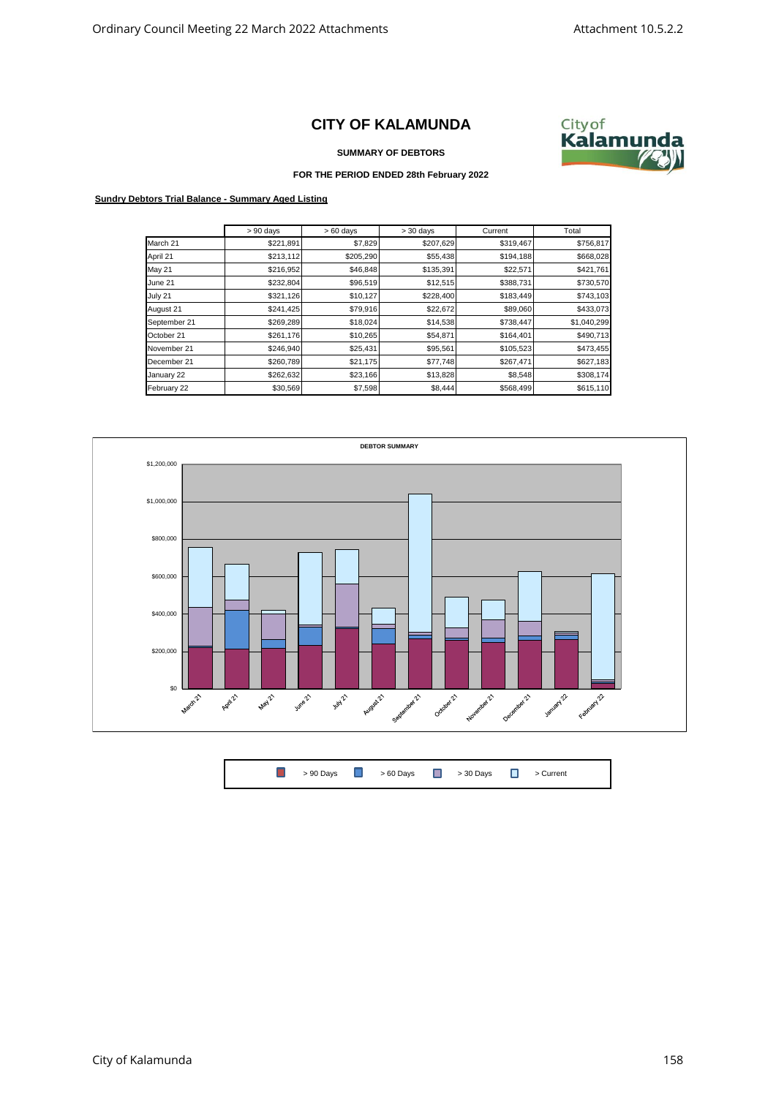## **CITY OF KALAMUNDA**



**SUMMARY OF DEBTORS**

## **FOR THE PERIOD ENDED 28th February 2022**

## **Sundry Debtors Trial Balance - Summary Aged Listing**

|              | $> 90$ days | $>60$ days | $> 30$ days | Current   | Total       |
|--------------|-------------|------------|-------------|-----------|-------------|
| March 21     | \$221,891   | \$7,829    | \$207,629   | \$319,467 | \$756,817   |
| April 21     | \$213,112   | \$205,290  | \$55,438    | \$194,188 | \$668,028   |
| May 21       | \$216,952   | \$46,848   | \$135,391   | \$22,571  | \$421,761   |
| June 21      | \$232,804   | \$96,519   | \$12,515    | \$388,731 | \$730,570   |
| July 21      | \$321,126   | \$10,127   | \$228,400   | \$183,449 | \$743,103   |
| August 21    | \$241,425   | \$79,916   | \$22,672    | \$89,060  | \$433,073   |
| September 21 | \$269,289   | \$18,024   | \$14,538    | \$738,447 | \$1,040,299 |
| October 21   | \$261,176   | \$10,265   | \$54,871    | \$164,401 | \$490,713   |
| November 21  | \$246,940   | \$25,431   | \$95,561    | \$105,523 | \$473,455   |
| December 21  | \$260,789   | \$21,175   | \$77,748    | \$267,471 | \$627,183   |
| January 22   | \$262,632   | \$23,166   | \$13,828    | \$8,548   | \$308,174   |
| February 22  | \$30,569    | \$7,598    | \$8,444     | \$568,499 | \$615,110   |



 $\Box$ > 90 Days  $\begin{array}{ccc} \hline \end{array}$  > 60 Days  $\begin{array}{ccc} \hline \end{array}$  > 30 Days  $\begin{array}{ccc} \hline \end{array}$  > Current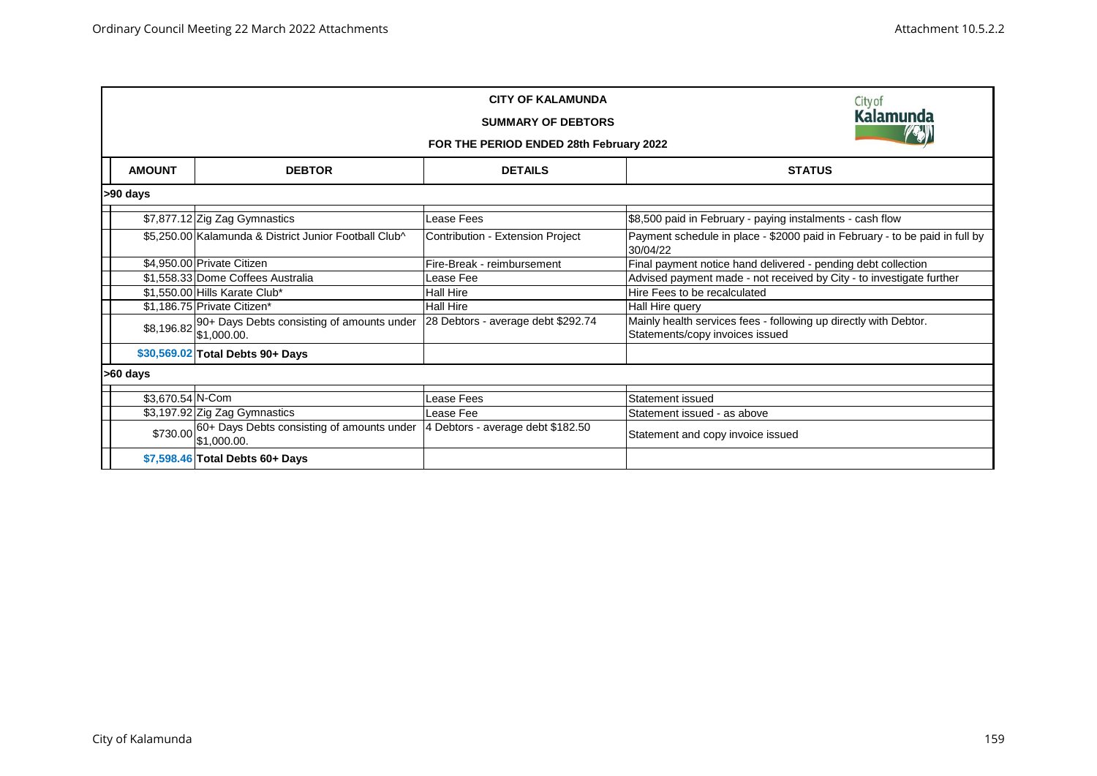|                  | Cityof<br><b>Kalamunda</b><br>FOR THE PERIOD ENDED 28th February 2022 |                                    |                                                                                                     |  |  |  |  |
|------------------|-----------------------------------------------------------------------|------------------------------------|-----------------------------------------------------------------------------------------------------|--|--|--|--|
| <b>AMOUNT</b>    | <b>DEBTOR</b>                                                         | <b>DETAILS</b>                     | <b>STATUS</b>                                                                                       |  |  |  |  |
| >90 days         |                                                                       |                                    |                                                                                                     |  |  |  |  |
|                  | \$7,877.12 Zig Zag Gymnastics                                         | Lease Fees                         | \$8,500 paid in February - paying instalments - cash flow                                           |  |  |  |  |
|                  | \$5,250.00 Kalamunda & District Junior Football Club^                 | Contribution - Extension Project   | Payment schedule in place - \$2000 paid in February - to be paid in full by<br>30/04/22             |  |  |  |  |
|                  | \$4,950.00 Private Citizen                                            | Fire-Break - reimbursement         | Final payment notice hand delivered - pending debt collection                                       |  |  |  |  |
|                  | \$1,558.33 Dome Coffees Australia                                     | Lease Fee                          | Advised payment made - not received by City - to investigate further                                |  |  |  |  |
|                  | \$1,550.00 Hills Karate Club*                                         | <b>Hall Hire</b>                   | Hire Fees to be recalculated                                                                        |  |  |  |  |
|                  | \$1,186.75 Private Citizen*                                           | <b>Hall Hire</b>                   | Hall Hire query                                                                                     |  |  |  |  |
|                  | \$8,196.82 90+ Days Debts consisting of amounts under<br>\$1,000.00.  | 28 Debtors - average debt \$292.74 | Mainly health services fees - following up directly with Debtor.<br>Statements/copy invoices issued |  |  |  |  |
|                  | \$30,569.02 Total Debts 90+ Days                                      |                                    |                                                                                                     |  |  |  |  |
| >60 days         |                                                                       |                                    |                                                                                                     |  |  |  |  |
| \$3,670.54 N-Com |                                                                       | Lease Fees                         | Statement issued                                                                                    |  |  |  |  |
|                  | \$3,197.92 Zig Zag Gymnastics                                         | Lease Fee                          | Statement issued - as above                                                                         |  |  |  |  |
|                  | \$730.00 60+ Days Debts consisting of amounts under<br>\$1,000.00.    | 4 Debtors - average debt \$182.50  | Statement and copy invoice issued                                                                   |  |  |  |  |
|                  | \$7,598.46 Total Debts 60+ Days                                       |                                    |                                                                                                     |  |  |  |  |